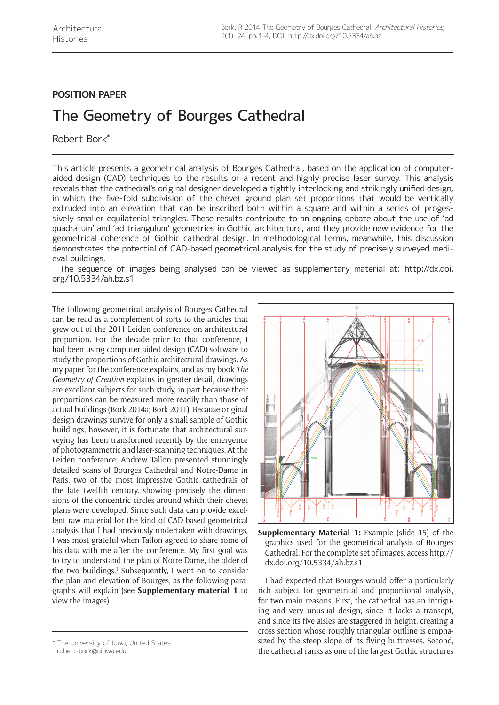## **POSITION PAPER**

# The Geometry of Bourges Cathedral

Robert Bork\*

This article presents a geometrical analysis of Bourges Cathedral, based on the application of computeraided design (CAD) techniques to the results of a recent and highly precise laser survey. This analysis reveals that the cathedral's original designer developed a tightly interlocking and strikingly unified design, in which the five-fold subdivision of the chevet ground plan set proportions that would be vertically extruded into an elevation that can be inscribed both within a square and within a series of progessively smaller equilaterial triangles. These results contribute to an ongoing debate about the use of 'ad quadratum' and 'ad triangulum' geometries in Gothic architecture, and they provide new evidence for the geometrical coherence of Gothic cathedral design. In methodological terms, meanwhile, this discussion demonstrates the potential of CAD-based geometrical analysis for the study of precisely surveyed medieval buildings.

The sequence of images being analysed can be viewed as supplementary material at: [http://dx.doi.](http://dx.doi.org/10.5334/ah.bz.s1) [org/10.5334/ah.bz.s1](http://dx.doi.org/10.5334/ah.bz.s1)

The following geometrical analysis of Bourges Cathedral can be read as a complement of sorts to the articles that grew out of the 2011 Leiden conference on architectural proportion. For the decade prior to that conference, I had been using computer-aided design (CAD) software to study the proportions of Gothic architectural drawings. As my paper for the conference explains, and as my book *The Geometry of Creation* explains in greater detail, drawings are excellent subjects for such study, in part because their proportions can be measured more readily than those of actual buildings (Bork 2014a; Bork 2011). Because original design drawings survive for only a small sample of Gothic buildings, however, it is fortunate that architectural surveying has been transformed recently by the emergence of photogrammetric and laser-scanning techniques. At the Leiden conference, Andrew Tallon presented stunningly detailed scans of Bourges Cathedral and Notre-Dame in Paris, two of the most impressive Gothic cathedrals of the late twelfth century, showing precisely the dimensions of the concentric circles around which their chevet plans were developed. Since such data can provide excellent raw material for the kind of CAD-based geometrical analysis that I had previously undertaken with drawings, I was most grateful when Tallon agreed to share some of his data with me after the conference. My first goal was to try to understand the plan of Notre-Dame, the older of the two buildings.<sup>1</sup> Subsequently, I went on to consider the plan and elevation of Bourges, as the following paragraphs will explain (see **Supplementary material 1** to view the images).



**Supplementary Material 1:** Example (slide 15) of the graphics used for the geometrical analysis of Bourges Cathedral. For the complete set of images, access [http://](http://dx.doi.org/10.5334/ah.bz.s1) [dx.doi.org/10.5334/ah.bz.s1](http://dx.doi.org/10.5334/ah.bz.s1)

I had expected that Bourges would offer a particularly rich subject for geometrical and proportional analysis, for two main reasons. First, the cathedral has an intriguing and very unusual design, since it lacks a transept, and since its five aisles are staggered in height, creating a cross section whose roughly triangular outline is emphasized by the steep slope of its flying buttresses. Second, the University of Iowa, United States \* The University of Iowa, United States \* The University of Iowa, United<br>the cathedral ranks as one of the largest Gothic structures \* The other the cathedral ranks as one of the large

[robert-bork@uiowa.edu](mailto:robert-bork@uiowa.edu)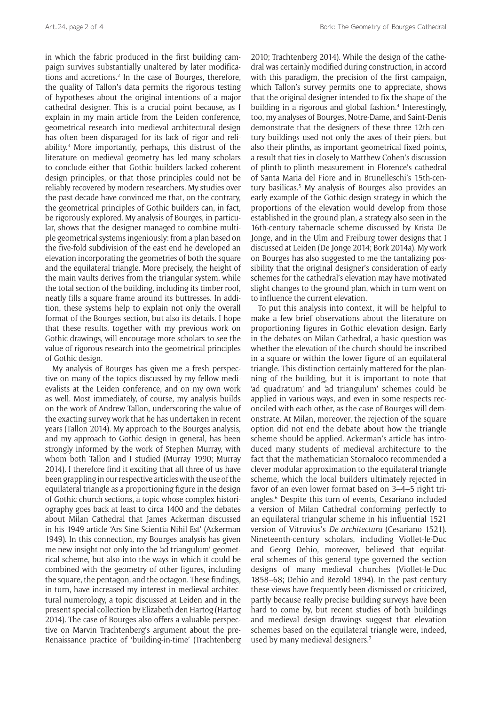in which the fabric produced in the first building campaign survives substantially unaltered by later modifications and accretions.<sup>2</sup> In the case of Bourges, therefore, the quality of Tallon's data permits the rigorous testing of hypotheses about the original intentions of a major cathedral designer. This is a crucial point because, as I explain in my main article from the Leiden conference, geometrical research into medieval architectural design has often been disparaged for its lack of rigor and reliability.3 More importantly, perhaps, this distrust of the literature on medieval geometry has led many scholars to conclude either that Gothic builders lacked coherent design principles, or that those principles could not be reliably recovered by modern researchers. My studies over the past decade have convinced me that, on the contrary, the geometrical principles of Gothic builders can, in fact, be rigorously explored. My analysis of Bourges, in particular, shows that the designer managed to combine multiple geometrical systems ingeniously: from a plan based on the five-fold subdivision of the east end he developed an elevation incorporating the geometries of both the square and the equilateral triangle. More precisely, the height of the main vaults derives from the triangular system, while the total section of the building, including its timber roof, neatly fills a square frame around its buttresses. In addition, these systems help to explain not only the overall format of the Bourges section, but also its details. I hope that these results, together with my previous work on Gothic drawings, will encourage more scholars to see the value of rigorous research into the geometrical principles of Gothic design.

My analysis of Bourges has given me a fresh perspective on many of the topics discussed by my fellow medievalists at the Leiden conference, and on my own work as well. Most immediately, of course, my analysis builds on the work of Andrew Tallon, underscoring the value of the exacting survey work that he has undertaken in recent years (Tallon 2014). My approach to the Bourges analysis, and my approach to Gothic design in general, has been strongly informed by the work of Stephen Murray, with whom both Tallon and I studied (Murray 1990; Murray 2014). I therefore find it exciting that all three of us have been grappling in our respective articles with the use of the equilateral triangle as a proportioning figure in the design of Gothic church sections, a topic whose complex historiography goes back at least to circa 1400 and the debates about Milan Cathedral that James Ackerman discussed in his 1949 article 'Ars Sine Scientia Nihil Est' (Ackerman 1949). In this connection, my Bourges analysis has given me new insight not only into the 'ad triangulum' geometrical scheme, but also into the ways in which it could be combined with the geometry of other figures, including the square, the pentagon, and the octagon. These findings, in turn, have increased my interest in medieval architectural numerology, a topic discussed at Leiden and in the present special collection by Elizabeth den Hartog (Hartog 2014). The case of Bourges also offers a valuable perspective on Marvin Trachtenberg's argument about the pre-Renaissance practice of 'building-in-time' (Trachtenberg

2010; Trachtenberg 2014). While the design of the cathedral was certainly modified during construction, in accord with this paradigm, the precision of the first campaign, which Tallon's survey permits one to appreciate, shows that the original designer intended to fix the shape of the building in a rigorous and global fashion.<sup>4</sup> Interestingly, too, my analyses of Bourges, Notre-Dame, and Saint-Denis demonstrate that the designers of these three 12th-century buildings used not only the axes of their piers, but also their plinths, as important geometrical fixed points, a result that ties in closely to Matthew Cohen's discussion of plinth-to-plinth measurement in Florence's cathedral of Santa Maria del Fiore and in Brunelleschi's 15th-century basilicas.<sup>5</sup> My analysis of Bourges also provides an early example of the Gothic design strategy in which the proportions of the elevation would develop from those established in the ground plan, a strategy also seen in the 16th-century tabernacle scheme discussed by Krista De Jonge, and in the Ulm and Freiburg tower designs that I discussed at Leiden (De Jonge 2014; Bork 2014a). My work on Bourges has also suggested to me the tantalizing possibility that the original designer's consideration of early schemes for the cathedral's elevation may have motivated slight changes to the ground plan, which in turn went on to influence the current elevation.

To put this analysis into context, it will be helpful to make a few brief observations about the literature on proportioning figures in Gothic elevation design. Early in the debates on Milan Cathedral, a basic question was whether the elevation of the church should be inscribed in a square or within the lower figure of an equilateral triangle. This distinction certainly mattered for the planning of the building, but it is important to note that 'ad quadratum' and 'ad triangulum' schemes could be applied in various ways, and even in some respects reconciled with each other, as the case of Bourges will demonstrate. At Milan, moreover, the rejection of the square option did not end the debate about how the triangle scheme should be applied. Ackerman's article has introduced many students of medieval architecture to the fact that the mathematician Stornaloco recommended a clever modular approximation to the equilateral triangle scheme, which the local builders ultimately rejected in favor of an even lower format based on 3–4–5 right triangles.6 Despite this turn of events, Cesariano included a version of Milan Cathedral conforming perfectly to an equilateral triangular scheme in his influential 1521 version of Vitruvius's *De architectura* (Cesariano 1521). Nineteenth-century scholars, including Viollet-le-Duc and Georg Dehio, moreover, believed that equilateral schemes of this general type governed the section designs of many medieval churches (Viollet-le-Duc 1858–68; Dehio and Bezold 1894). In the past century these views have frequently been dismissed or criticized, partly because really precise building surveys have been hard to come by, but recent studies of both buildings and medieval design drawings suggest that elevation schemes based on the equilateral triangle were, indeed, used by many medieval designers.<sup>7</sup>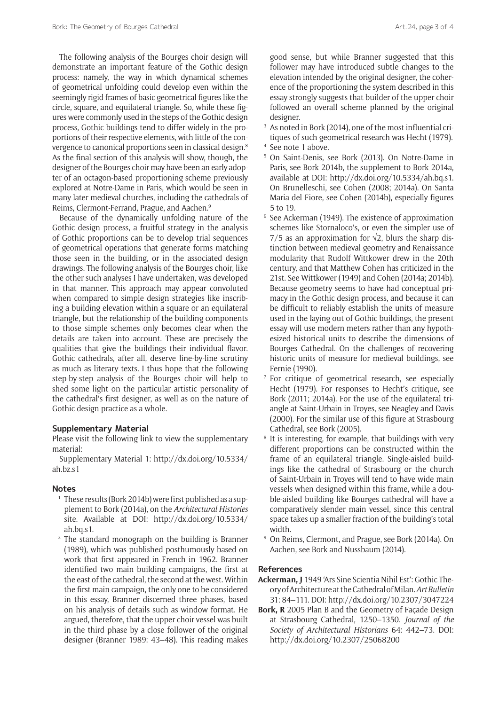The following analysis of the Bourges choir design will demonstrate an important feature of the Gothic design process: namely, the way in which dynamical schemes of geometrical unfolding could develop even within the seemingly rigid frames of basic geometrical figures like the circle, square, and equilateral triangle. So, while these figures were commonly used in the steps of the Gothic design process, Gothic buildings tend to differ widely in the proportions of their respective elements, with little of the convergence to canonical proportions seen in classical design.8 As the final section of this analysis will show, though, the designer of the Bourges choir may have been an early adopter of an octagon-based proportioning scheme previously explored at Notre-Dame in Paris, which would be seen in many later medieval churches, including the cathedrals of Reims, Clermont-Ferrand, Prague, and Aachen.9

Because of the dynamically unfolding nature of the Gothic design process, a fruitful strategy in the analysis of Gothic proportions can be to develop trial sequences of geometrical operations that generate forms matching those seen in the building, or in the associated design drawings. The following analysis of the Bourges choir, like the other such analyses I have undertaken, was developed in that manner. This approach may appear convoluted when compared to simple design strategies like inscribing a building elevation within a square or an equilateral triangle, but the relationship of the building components to those simple schemes only becomes clear when the details are taken into account. These are precisely the qualities that give the buildings their individual flavor. Gothic cathedrals, after all, deserve line-by-line scrutiny as much as literary texts. I thus hope that the following step-by-step analysis of the Bourges choir will help to shed some light on the particular artistic personality of the cathedral's first designer, as well as on the nature of Gothic design practice as a whole.

#### **Supplementary Material**

Please visit the following link to view the supplementary material:

Supplementary Material 1: [http://dx.doi.org/10.5334/](http://dx.doi.org/10.5334/ah.bz.s1) [ah.bz.s1](http://dx.doi.org/10.5334/ah.bz.s1)

### **Notes**

- <sup>1</sup> These results (Bork 2014b) were first published as a supplement to Bork (2014a), on the *Architectural Histories*  site. Available at DOI: [http://dx.doi.org/10.5334/](http://dx.doi.org/10.5334/ah.bq.s1) [ah.bq.s1.](http://dx.doi.org/10.5334/ah.bq.s1)
- <sup>2</sup> The standard monograph on the building is Branner (1989), which was published posthumously based on work that first appeared in French in 1962. Branner identified two main building campaigns, the first at the east of the cathedral, the second at the west. Within the first main campaign, the only one to be considered in this essay, Branner discerned three phases, based on his analysis of details such as window format. He argued, therefore, that the upper choir vessel was built in the third phase by a close follower of the original designer (Branner 1989: 43–48). This reading makes

good sense, but while Branner suggested that this follower may have introduced subtle changes to the elevation intended by the original designer, the coherence of the proportioning the system described in this essay strongly suggests that builder of the upper choir followed an overall scheme planned by the original designer.

- <sup>3</sup> As noted in Bork (2014), one of the most influential critiques of such geometrical research was Hecht (1979).
- <sup>4</sup> See note 1 above.
- <sup>5</sup> On Saint-Denis, see Bork (2013). On Notre-Dame in Paris, see Bork 2014b, the supplement to Bork 2014a, available at DOI: <http://dx.doi.org/10.5334/ah.bq.s1>. On Brunelleschi, see Cohen (2008; 2014a). On Santa Maria del Fiore, see Cohen (2014b), especially figures 5 to 19.
- <sup>6</sup> See Ackerman (1949). The existence of approximation schemes like Stornaloco's, or even the simpler use of 7/5 as an approximation for  $\sqrt{2}$ , blurs the sharp distinction between medieval geometry and Renaissance modularity that Rudolf Wittkower drew in the 20th century, and that Matthew Cohen has criticized in the 21st. See Wittkower (1949) and Cohen (2014a; 2014b). Because geometry seems to have had conceptual primacy in the Gothic design process, and because it can be difficult to reliably establish the units of measure used in the laying out of Gothic buildings, the present essay will use modern meters rather than any hypothesized historical units to describe the dimensions of Bourges Cathedral. On the challenges of recovering historic units of measure for medieval buildings, see Fernie (1990).
- <sup>7</sup> For critique of geometrical research, see especially Hecht (1979). For responses to Hecht's critique, see Bork (2011; 2014a). For the use of the equilateral triangle at Saint-Urbain in Troyes, see Neagley and Davis (2000). For the similar use of this figure at Strasbourg Cathedral, see Bork (2005).
- <sup>8</sup> It is interesting, for example, that buildings with very different proportions can be constructed within the frame of an equilateral triangle. Single-aisled buildings like the cathedral of Strasbourg or the church of Saint-Urbain in Troyes will tend to have wide main vessels when designed within this frame, while a double-aisled building like Bourges cathedral will have a comparatively slender main vessel, since this central space takes up a smaller fraction of the building's total width.
- <sup>9</sup> On Reims, Clermont, and Prague, see Bork (2014a). On Aachen, see Bork and Nussbaum (2014).

#### **References**

- **Ackerman, J** 1949 'Ars Sine Scientia Nihil Est': Gothic Theory of Architecture at the Cathedral of Milan. *Art Bulletin*  31: 84–111. DOI: <http://dx.doi.org/10.2307/3047224>
- **Bork, R** 2005 Plan B and the Geometry of Façade Design at Strasbourg Cathedral, 1250–1350. *Journal of the Society of Architectural Historians* 64: 442–73. DOI: <http://dx.doi.org/10.2307/25068200>